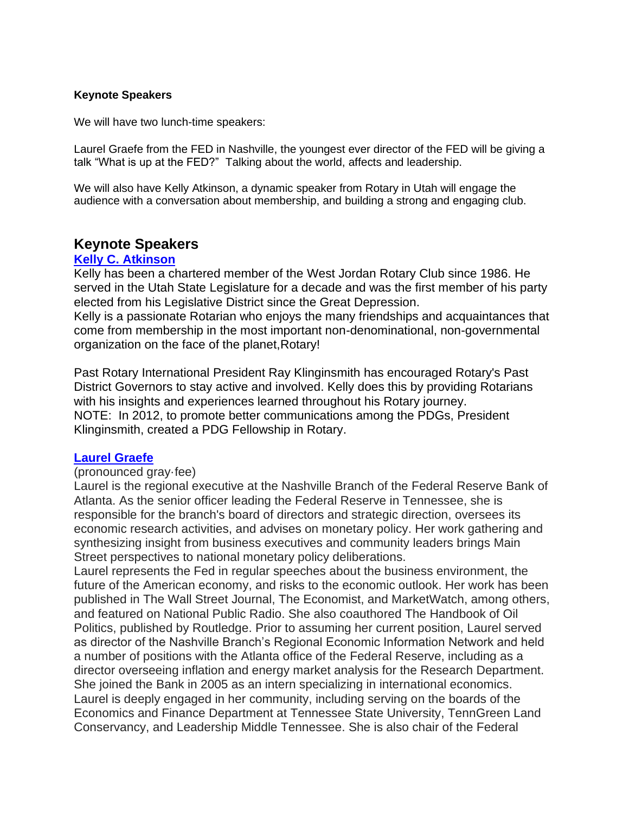# **Keynote Speakers**

We will have two lunch-time speakers:

Laurel Graefe from the FED in Nashville, the youngest ever director of the FED will be giving a talk "What is up at the FED?" Talking about the world, affects and leadership.

We will also have Kelly Atkinson, a dynamic speaker from Rotary in Utah will engage the audience with a conversation about membership, and building a strong and engaging club.

# **Keynote Speakers**

## **[Kelly C. Atkinson](https://www.kellycatkinson.org/#HOME)**

Kelly has been a chartered member of the [West Jordan Rotary Club](https://www.westjordanrotary.com/) since 1986. He served in the [Utah State Legislature](https://le.utah.gov/asp/roster/roster.asp) for a decade and was the first member of his party elected from his Legislative District since the Great Depression. Kelly is a passionate Rotarian who enjoys the many friendships and acquaintances that come from membership in the most important non-denominational, non-governmental organization on the face of the planet[,Rotary!](https://www.rotary.org/en)

Past Rotary International [President Ray Klinginsmith](https://en.wikipedia.org/wiki/Ray_Klinginsmith) has encouraged Rotary's Past District Governors to [stay active and involved.](http://www.pdgsfellowship.org/) Kelly does this by providing Rotarians with his insights and experiences learned throughout his Rotary journey. NOTE: In 2012, to promote better communications among the PDGs, President Klinginsmith, created a PDG Fellowship in Rotary.

# **[Laurel Graefe](https://tlcnashville.com/laurel.html)**

#### (pronounced gray·fee)

Laurel is the regional executive at the Nashville Branch of the Federal Reserve Bank of Atlanta. As the senior officer leading the Federal Reserve in Tennessee, she is responsible for the branch's board of directors and strategic direction, oversees its economic research activities, and advises on monetary policy. Her work gathering and synthesizing insight from business executives and community leaders brings Main Street perspectives to national monetary policy deliberations.

Laurel represents the Fed in regular speeches about the business environment, the future of the American economy, and risks to the economic outlook. Her work has been published in The Wall Street Journal, The Economist, and MarketWatch, among others, and featured on National Public Radio. She also coauthored The Handbook of Oil Politics, published by Routledge. Prior to assuming her current position, Laurel served as director of the Nashville Branch's Regional Economic Information Network and held a number of positions with the Atlanta office of the Federal Reserve, including as a director overseeing inflation and energy market analysis for the Research Department. She joined the Bank in 2005 as an intern specializing in international economics. Laurel is deeply engaged in her community, including serving on the boards of the Economics and Finance Department at Tennessee State University, TennGreen Land Conservancy, and Leadership Middle Tennessee. She is also chair of the Federal